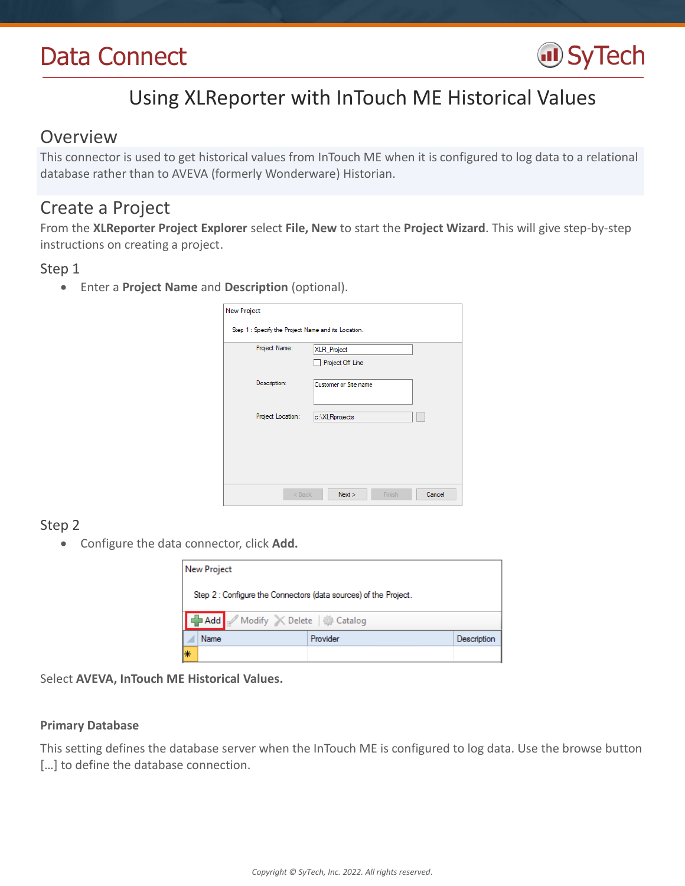# Data Connect



## Using XLReporter with InTouch ME Historical Values

### Overview

This connector is used to get historical values from InTouch ME when it is configured to log data to a relational database rather than to AVEVA (formerly Wonderware) Historian.

## Create a Project

From the **XLReporter Project Explorer** select **File, New** to start the **Project Wizard**. This will give step-by-step instructions on creating a project.

#### Step 1

Enter a **Project Name** and **Description** (optional).

| Project Name:     | <b>XLR</b> Project<br>Project Off Line |
|-------------------|----------------------------------------|
| Description:      | Customer or Site name                  |
| Project Location: | c:\XLRprojects                         |
|                   |                                        |

#### Step 2

Configure the data connector, click **Add.**

|                                                                  | <b>New Project</b>            |  |          |             |  |  |
|------------------------------------------------------------------|-------------------------------|--|----------|-------------|--|--|
| Step 2 : Configure the Connectors (data sources) of the Project. |                               |  |          |             |  |  |
|                                                                  | Add Modify X Delete   Catalog |  |          |             |  |  |
|                                                                  | Name                          |  | Provider | Description |  |  |
| ⊯                                                                |                               |  |          |             |  |  |

Select **AVEVA, InTouch ME Historical Values.**

#### **Primary Database**

This setting defines the database server when the InTouch ME is configured to log data. Use the browse button [...] to define the database connection.